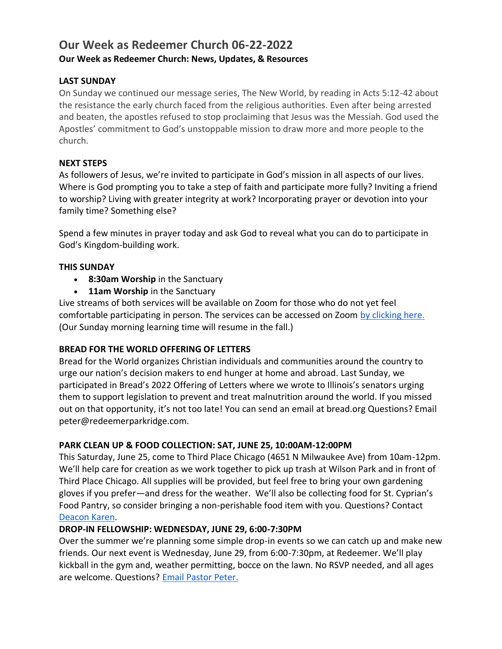# **Our Week as Redeemer Church 06-22-2022 Our Week as Redeemer Church: News, Updates, & Resources**

# **LAST SUNDAY**

On Sunday we continued our message series, The New World, by reading in Acts 5:12-42 about the resistance the early church faced from the religious authorities. Even after being arrested and beaten, the apostles refused to stop proclaiming that Jesus was the Messiah. God used the Apostles' commitment to God's unstoppable mission to draw more and more people to the church.

# **NEXT STEPS**

As followers of Jesus, we're invited to participate in God's mission in all aspects of our lives. Where is God prompting you to take a step of faith and participate more fully? Inviting a friend to worship? Living with greater integrity at work? Incorporating prayer or devotion into your family time? Something else?

Spend a few minutes in prayer today and ask God to reveal what you can do to participate in God's Kingdom-building work.

# **THIS SUNDAY**

- **8:30am Worship** in the Sanctuary
- **11am Worship** in the Sanctuary

Live streams of both services will be available on Zoom for those who do not yet feel comfortable participating in person. The services can be accessed on Zoom [by clicking here.](https://zoom.us/j/364293576?pwd=YzNIVHdUSE5hVTZvUHAyUlNXdGVuUT09) (Our Sunday morning learning time will resume in the fall.)

# **BREAD FOR THE WORLD OFFERING OF LETTERS**

Bread for the World organizes Christian individuals and communities around the country to urge our nation's decision makers to end hunger at home and abroad. Last Sunday, we participated in Bread's 2022 Offering of Letters where we wrote to Illinois's senators urging them to support legislation to prevent and treat malnutrition around the world. If you missed out on that opportunity, it's not too late! You can send an email at bread.org Questions? Email peter@redeemerparkridge.com.

# **PARK CLEAN UP & FOOD COLLECTION: SAT, JUNE 25, 10:00AM-12:00PM**

This Saturday, June 25, come to Third Place Chicago (4651 N Milwaukee Ave) from 10am-12pm. We'll help care for creation as we work together to pick up trash at Wilson Park and in front of Third Place Chicago. All supplies will be provided, but feel free to bring your own gardening gloves if you prefer—and dress for the weather. We'll also be collecting food for St. Cyprian's Food Pantry, so consider bringing a non-perishable food item with you. Questions? Contact [Deacon Karen.](mailto:karen@redeemerparkridge.com)

# **DROP-IN FELLOWSHIP: WEDNESDAY, JUNE 29, 6:00-7:30PM**

Over the summer we're planning some simple drop-in events so we can catch up and make new friends. Our next event is Wednesday, June 29, from 6:00-7:30pm, at Redeemer. We'll play kickball in the gym and, weather permitting, bocce on the lawn. No RSVP needed, and all ages are welcome. Questions? [Email Pastor Peter.](mailto:peter@redeemerparkridge.com)